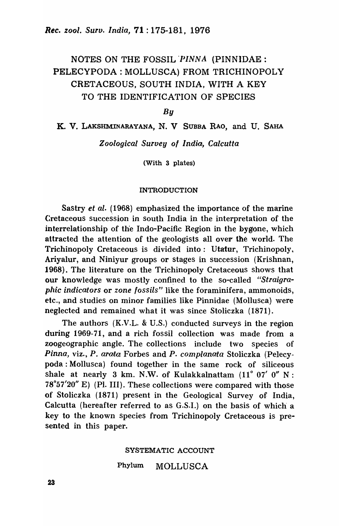# NOTES ON THE FOSSIL PINNA (PINNIDAE: PELECYPODA : MOLLUSCA) FROM TRICHINOPOLY CRETACEOUS, SOUTH INDIA, WITH A KEY TO THE IDENTIFICATION OF SPECIES

*By* 

K. V. LAKSHMINARAYANA, N. V SUBBA RAO, and U. SAHA

*Zoological Survey 01 India, Calcutta* 

(With 3 plates)

### INTRODUCTION

Sastry *et al.* (1968) emphasized the importance of the marine Cretaceous succession in south India in the interpretation of the interrelationship of the Indo-Pacific Region in the bygone, which attracted the attention of the geologists allover the world. The Trichinopoly Cretaceous is divided into: Utatur, Trichinopoly, Ariyalur, and Niniyur groups or stages in succession (Krishnan, 1968). The literature on the Trichinopoly Cretaceous shows that our knowledge was mostly confined to the so-called "Straigra*phic indicators* or *zone fossils"* like the foraminifera, ammonoids, etc., and studies on minor families like Pinnidae (Mollusca) were neglected and remained what it was since Stoliczka (1871).

The authors (K.V.L. & V.S.) conducted surveys in the region during 1969-71, and a rich fossil collection was made from a zoogeographic angle. The collections include two species of *Pinna,* viz., P. *arata* Forbes and *P. compianata* Stoliczka (Pelecypoda : Mollusca) found together in the same rock of siliceous shale at nearly 3 km. N.W. of Kulakkalnattam  $(11^{\circ} 07' 0'' N)$ :  $78°57'20''$  E) (Pl. III). These collections were compared with those of Stoliczka (1871) present in the Geological Survey of India, Calcutta (hereafter referred to as G.S.I.) on the basis of which' a key to the known species from Trichinopoly Cretaceous is presented in this paper.

### SYSTEMATIC ACCOUNT

### Phylum MOLLUSCA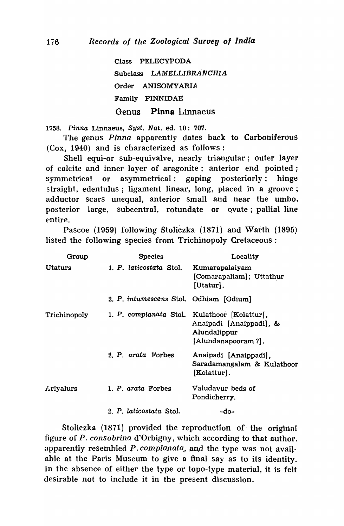Class PELECYPODA Subclass LAMELLIBRANCHIA Order ANISOMYARIA Family PINNIDAE Genus Pinna Linnaeus

1758. Pinna Linnaeus, Syst. Nat. ed. 10: 707.

The genus *Pinna* apparently dates back to Carboniferous (Cox, 1940) and is characterized as follows:

Shell equi-or sub-equivalve, nearly triangular; outer layer of calcite and inner layer of aragonite; anterior end pointed; symmetrical or asymmetrical; gaping posteriorly; hinge straight, edentulus ; ligament linear, long, placed in a groove; adductor scars unequal, anterior small and near the umbo, posterior large, subcentral, rotundate or ovate; pallial line entire.

Pascoe (1959) following Stoliczka (1871) and Warth (1895) listed the following species from Trichinopoly Cretaceous:

| Group            | <b>Species</b>                               | Locality                                                           |
|------------------|----------------------------------------------|--------------------------------------------------------------------|
| <b>Utaturs</b>   | 1. P. laticostata Stol.                      | Kumarapalaiyam<br>[Comarapaliam]; Uttathur<br>[Utatur].            |
|                  | 2. P. intumescens Stol. Odhiam [Odium]       |                                                                    |
| Trichinopoly     | 1. P. complanata Stol. Kulathoor [Kolattur], | Anaipadi [Anaippadi], &<br>Alundalippur<br>[Alundanapooram ?].     |
|                  | 2. P. arata Forbes                           | Anaipadi [Anaippadi],<br>Saradamangalam & Kulathoor<br>[Kolattur]. |
| <b>Ariyalurs</b> | 1. P. arata Forbes                           | Valudavur beds of<br>Pondicherry.                                  |
|                  | 2. P. laticostata Stol.                      | -do-                                                               |

Stoliczka (1871) provided the reproduction of the original figure of *P. consobrina* d'Orbigny, which according to that author, apparently resembled P. complanata, and the type was not available at the Paris Museum to give a final say as to its identity. In the absence of either the type or topo-type material, it is felt desirable not to include it in the present discussion.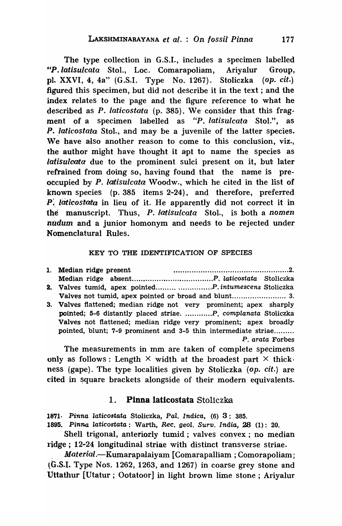The type collection in G.S.I., includes a specimen labelled *"P.iatisuicata* Sto1., Loc. Comarapoliam, Ariyalur Group, pl. XXVI, 4, 4a" (G.S.I. Type No. 1267). Stoliczka *(op. cit.)*  figured this specimen, but did not describe it in the text; and the index relates to the page and the figure reference to what he described as P. *iaticostata* (p. 385). We consider that this fragment of a specimen labelled as "P. latisulcata Stol.", as P. *laticostata* Stol., and may be a juvenile of the latter species. We have also another reason to come to this conclusion, viz., the author might have thought it apt to name the species as *latisuioota* due to the prominent sulci present on it, but later refrained from doing so, having found that the name is preoccupied by P. *latisulcata* Woodw., which' he cited in the list of known species (p. 385 items 2-24), and therefore, preferred *P:. iaticostam* in lieu of it. He apparently did not correct it in the manuscript. Thus, P. *latisulcata* Stol., is both a *nomen* nudum and a junior homonym and needs to be rejected under Nomenclatural Rules.

### KEY TO THE IDENTIFICATION OF SPECIES

| 1. Median ridge present |  |  |  |  |
|-------------------------|--|--|--|--|
|                         |  |  |  |  |
|                         |  |  |  |  |

- 3. Valves tumid, apex pointed......... *. ..............* P. intumescens Stoliczka Valves not tumid, apex pointed or broad and blunt ........................ 3.
- 3. Valves flattened; median ridge not very prominent; apex sharply pointed; 5-6 distantly placed striae. ............P. complanata Stoliczka Valves not flattened; median ridge very prominent; apex broadly pointed, blunt; 7-9 prominent and 3-5 thin intermediate striae......... P. arata Forbes

The measurements in mm are taken of complete specimens only as follows: Length  $\times$  width at the broadest part  $\times$  thick. ness (gape). The type localities given by Stoliczka (op. *cit.*) are cited in square brackets alongside of their modern equivalents.

## 1. Pinna laticostata Stoliczka

1871. Pinna laticostata Stoliczka, Pal. Indica, (6) 3: 385.

1895. Pinna laticostata: Warth, Rec. yeol. Surv. India, 28 (1): 20.

Shell trigonal, anteriorly tumid; valves convex; no median ridge; 12-24 longitudinal striae with distinct transverse striae.

Material.-Kumarapalaiyam [Comarapalliam ; Comorapoliam; ~G.S.I. Type Nos. 1262, 1263, and 1267) in coarse grey stone and Uttathur [Utatur ; Ootatoor] in light brown lime stone; Ariyalur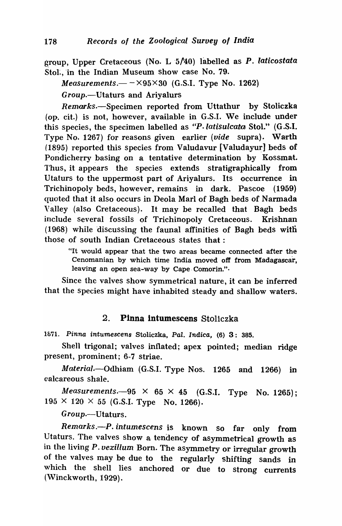group, Upper Cretaceous (No. L  $5/40$ ) labelled as *P. laticostata* Stol., in the Indian Museum show case No. 79.

*Measurements.* $-\times$  95 $\times$ 30 (G.S.I. Type No. 1262) Group.--Utaturs and Ariyalurs

Remarks.-Specimen reported from Uttathur by Stoliczka (op. cit.) is not, however, available in G.S.I. We include under this species, the specimen labelled as *"P.latisulcata* Sto1." (G.S.I. Type No. 1267) for reasons given earlier *(vide* supra). Warth (1895) reported this species from Valudavur [Valudayur] beds of Pondicherry basing on a tentative determination by Kossmat. 1'hus, it appears the species extends stratigraphically from Utaturs to the uppermost part of Ariyalurs. Its occurrence in Trichinopoly beds, however, remains in dark. Pascoe (1959) quoted that it also occurs in Deola Marl of Bagh beds of Narmada Valley (also Cretaceous). It may be recalled that Bagh beds include several fossils of Trichinopoly Cretaceous. Krishnan  $(1968)$  while discussing the faunal affinities of Bagh beds with those of south Indian Cretaceous states that:

"It would appear that the two areas became connected after the Cenomanian by which time India moved off from Madagascar, leaving an open sea-way by Cape Comorin.".

Since the valves show symmetrical nature, it can be inferred that the species might have inhabited steady and shallow waters.

### 2. Pinna intumescens Stoliczka

1871. Pinna intumescens Stoliczka, Pal. Indica, (6) 3: 385.

Shell trigonal; valves inflated; apex pointed; median ridge present, prominent; 6-7 striae.

*Material.·-Odhiam* (G.S.I. Type Nos. 1265 and 1266) in calcareous shale.

*Measurements.* $-95 \times 65 \times 45$  (G.S.I. Type No. 1265);  $195 \times 120 \times 55$  (G.S.I. Type No. 1266).

*Group.-Utaturs.* 

*Remarks.-P. intumescens* is known So far only from Utaturs. The valves show a tendency of asymmetrical growth as in the living P. vexillum Born. The asymmetry or irregular growth of the valves may be due to the regularly shifting sands in which the shell lies anchored or due to strong currents (Winckworth, 1929).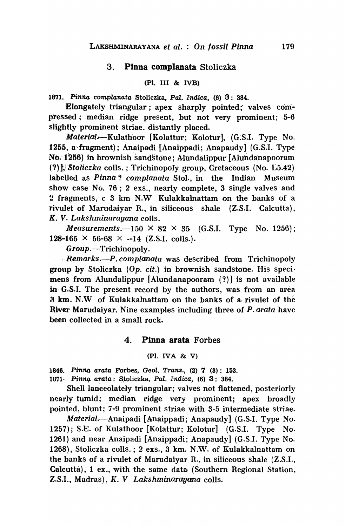### 3. Pinna complanata Stoliczka

### (Pl. III & IVB)

1871. Pinna complanata Stoliczka, Pal. Indica. (6) 3: 384.

Elongately triangular; apex sharply pointed;' valves compressed; median ridge present, but not very prominent; 5-6 slightly prominent striae. distantly placed.

*Material..-Kulath'oor* [Kolattur; Kolotur], (G:S.I. Type No. 1255, a'· fragment) ; Anaipadi [Anaippadi; Anapaudy] (G.S.I. Type No. 1256) in brownish sandstone; Alundalippur [Alundanapooram] (?) ], *Stoliczka* colls. ; Trichinopoly group, Cretaceous (No. L5.42) labelled as *Pinna? complanata* Sto1., in the Indian Museum show case N $\alpha$ . 76; 2 exs., nearly complete, 3 single valves and 2 fragments, c 3 km N.W Kulakkalnattam on the banks of "a rivulet of Marudaiyar R., in siliceous shale (Z.S.I. Calcutta), K. V. *Lakshminarayana* colIs.

*Measurements.* $-150 \times 82 \times 35$  (G.S.I. Type No. 1256); 128-165  $\times$  56-68  $\times$  --14 (Z.S.I. colls.).

Group.—Trichinopoly.

... *Remarks.—P. complanata* was described from Trichinopoly group by Stoliczka  $(Op. cit.)$  in brownish sandstone. His specimens from Alundalippur [Alundanapooram  $(?)$ ] is not available in· G.S.1. The present record by the authors, was from an area 3 km. N.W of Kulakkalnattam on the banks of a rivulet of the River Marudaiyar. Nine examples including three of P. *arata* have been collected in a small rock.

### 4. Pinna arata Forbes

### (Pl. IVA & V)

1846. Pinna arata Forbes, Geol. Trans.,  $(2)$   $7$   $(3)$ : 153. 1871· Pinna arata: Stoliczka, Pal. Indica, (6) 3: 384.

Shell lanceolately triangular; valves not flattened, posteriorly nearly tumid; median ridge very prominent; apex broadly pointed, blunt; 7-9 prominent striae with 3-5 intermediate striae.

*Material* .--Anaipadi [Anaippadi; Anapaudy] (G.S.I. Type No. 1257); S.E. of Kulathoor [Kolattur; Kolotur] (G.S.I. Type No. 1261) and near Anaipadi [Anaippadi; Anapaudy] (G.S.I. Type No. 1268), Stoliczka colls.; 2 exs., 3 km. N.W. of Kulakkalnattam on the banks of a rivulet of Marudaiyar R., in siliceous shale  $(Z.S.I.,)$ Calcutta), 1 ex., with the same data (Southern Regional Station, Z.S'!., Madras), K. V *Lakshminarayana* colIs.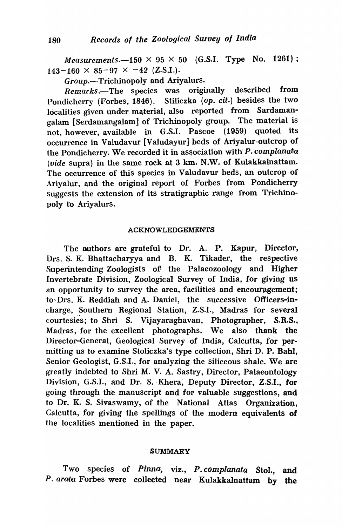*Measurements.* $-150 \times 95 \times 50$  (G.S.I. Type No. 1261);  $143-160 \times 85-97 \times -42$  (Z.S.I.).

Group.-Trichinopoly and Ariyalurs.

*Remarks.-The* species was originally described from Pondicherry (Forbes, 1846). Stiliczka (op. *cit.)* besides the two localities given under material, also reported from Sardamangalam [Serdamangalam] of Trichinopoly group. The material is not, however, available in G.S.I. Pascoe (1959) quoted its occurrence in Valudavur [Valudayur] beds of Ariyalur-outcrop of the Pondicherry. We recorded it in association with  $P$ . complanata (vide supra) in the same rock at 3 km. N.W. of Kulakkalnattam. The occurrence of this species in Valudavur beds, an outcrop of Ariyalur, and the original report of Forbes from Pondicherry suggests the extension of its stratigraphic range from Trichinopoly to Ariyalurs.

### ACKNOWLEDGEMENTS

The authors are grateful to Dr. A. P. Kapur, Director, Drs. S. K. Bhattacharyya and B. K. Tikader, the respective Superintending Zoologists of the Palaeozoology and Higher Invertebrate Division, Zoological Survey of India, for giving us an opportunity to survey the area, facilities and encouragement; to Drs. K. Reddiah and A. Daniel, the successive Officers-incharge, Southern Regional Station, Z.S.I., Madras for several courtesies; to Shri S. Vijayaraghavan, Photographer, S.R.S., Madras, for the excellent photographs. We also thank the Director-General, Geological Survey of India, Calcutta, for permitting us to examine Stoliczka's type collection, Shri D. P. Bahl, Senior Geologist, G.S.I., for analyzing the siliceous shale. We are greatly indebted to Shri M. V. A. Sastry, Director, Palaeontology Division, G.S.I., and Dr. S. Khera, Deputy Director, Z.S.I., for going through th'e manuscript and for vaJuable suggestions, and to Dr. K. S. Sivaswamy, of the National Atlas Organization. Calcutta, for giving the spellings of the modern equivalents of the localities mentioned in the paper.

#### SUMMARY

Two species of *Pinna*, viz., *P. complanata* Stol., and P. arata Forbes were collected near Kulakkalnattam by the